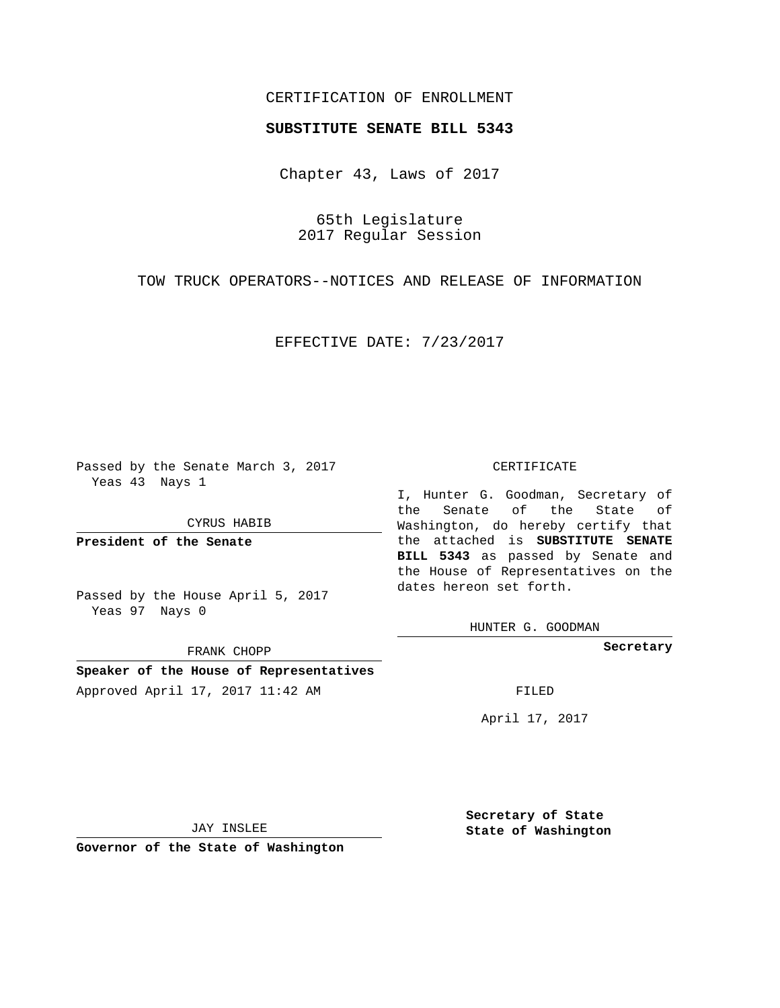## CERTIFICATION OF ENROLLMENT

## **SUBSTITUTE SENATE BILL 5343**

Chapter 43, Laws of 2017

65th Legislature 2017 Regular Session

TOW TRUCK OPERATORS--NOTICES AND RELEASE OF INFORMATION

EFFECTIVE DATE: 7/23/2017

Passed by the Senate March 3, 2017 Yeas 43 Nays 1

CYRUS HABIB

**President of the Senate**

Passed by the House April 5, 2017 Yeas 97 Nays 0

FRANK CHOPP

**Speaker of the House of Representatives** Approved April 17, 2017 11:42 AM FILED

## CERTIFICATE

I, Hunter G. Goodman, Secretary of the Senate of the State of Washington, do hereby certify that the attached is **SUBSTITUTE SENATE BILL 5343** as passed by Senate and the House of Representatives on the dates hereon set forth.

HUNTER G. GOODMAN

**Secretary**

April 17, 2017

JAY INSLEE

**Governor of the State of Washington**

**Secretary of State State of Washington**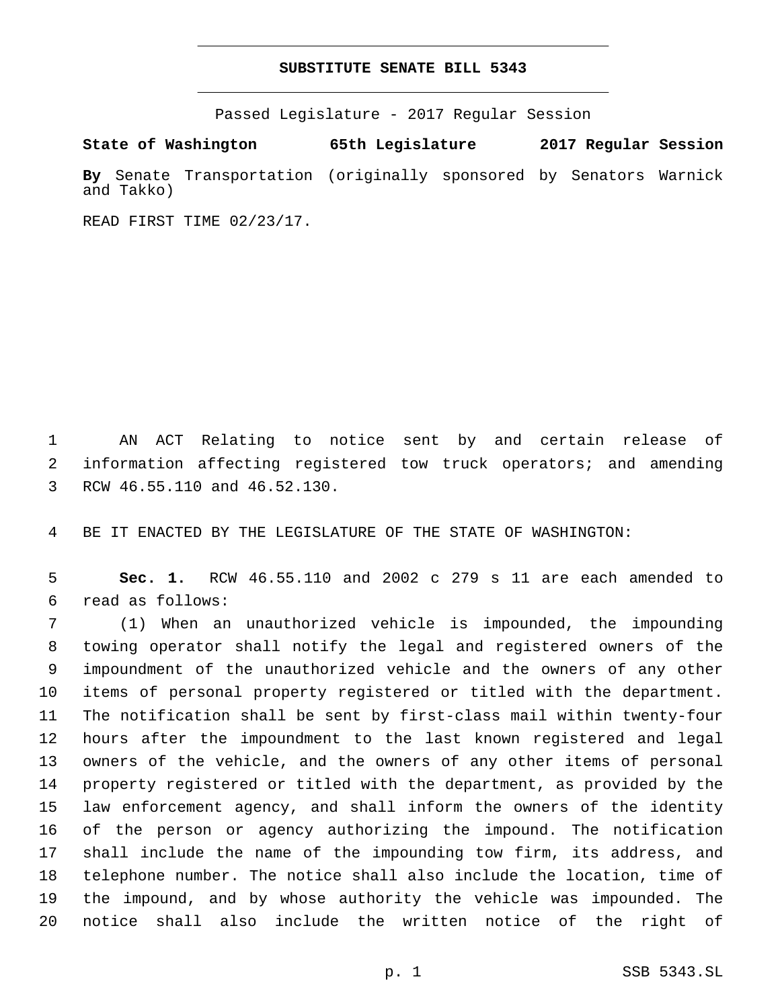## **SUBSTITUTE SENATE BILL 5343**

Passed Legislature - 2017 Regular Session

**State of Washington 65th Legislature 2017 Regular Session By** Senate Transportation (originally sponsored by Senators Warnick and Takko)

READ FIRST TIME 02/23/17.

 AN ACT Relating to notice sent by and certain release of information affecting registered tow truck operators; and amending 3 RCW 46.55.110 and 46.52.130.

BE IT ENACTED BY THE LEGISLATURE OF THE STATE OF WASHINGTON:

 **Sec. 1.** RCW 46.55.110 and 2002 c 279 s 11 are each amended to read as follows:6

 (1) When an unauthorized vehicle is impounded, the impounding towing operator shall notify the legal and registered owners of the impoundment of the unauthorized vehicle and the owners of any other items of personal property registered or titled with the department. The notification shall be sent by first-class mail within twenty-four hours after the impoundment to the last known registered and legal owners of the vehicle, and the owners of any other items of personal property registered or titled with the department, as provided by the law enforcement agency, and shall inform the owners of the identity of the person or agency authorizing the impound. The notification shall include the name of the impounding tow firm, its address, and telephone number. The notice shall also include the location, time of the impound, and by whose authority the vehicle was impounded. The notice shall also include the written notice of the right of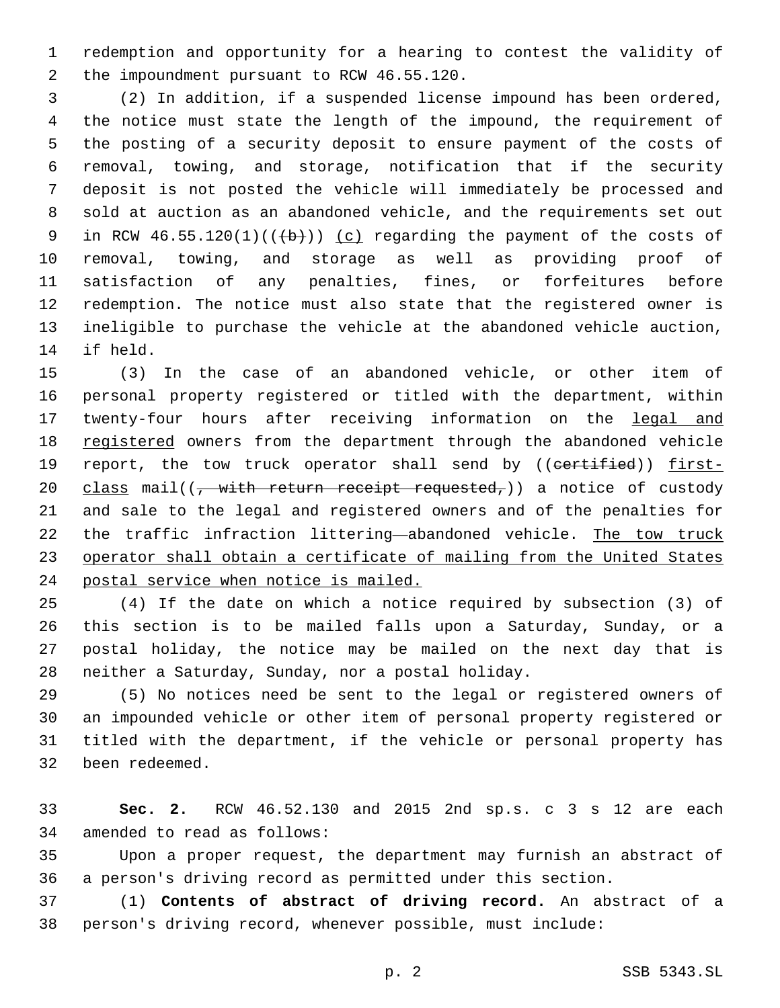redemption and opportunity for a hearing to contest the validity of 2 the impoundment pursuant to RCW 46.55.120.

 (2) In addition, if a suspended license impound has been ordered, the notice must state the length of the impound, the requirement of the posting of a security deposit to ensure payment of the costs of removal, towing, and storage, notification that if the security deposit is not posted the vehicle will immediately be processed and sold at auction as an abandoned vehicle, and the requirements set out 9 in RCW  $46.55.120(1)((+b))$  (c) regarding the payment of the costs of removal, towing, and storage as well as providing proof of satisfaction of any penalties, fines, or forfeitures before redemption. The notice must also state that the registered owner is ineligible to purchase the vehicle at the abandoned vehicle auction, 14 if held.

 (3) In the case of an abandoned vehicle, or other item of personal property registered or titled with the department, within 17 twenty-four hours after receiving information on the legal and 18 registered owners from the department through the abandoned vehicle 19 report, the tow truck operator shall send by ((certified)) first-20 class mail( $\frac{1}{2}$ , with return receipt requested,) a notice of custody and sale to the legal and registered owners and of the penalties for the traffic infraction littering—abandoned vehicle. The tow truck 23 operator shall obtain a certificate of mailing from the United States postal service when notice is mailed.

 (4) If the date on which a notice required by subsection (3) of this section is to be mailed falls upon a Saturday, Sunday, or a postal holiday, the notice may be mailed on the next day that is 28 neither a Saturday, Sunday, nor a postal holiday.

 (5) No notices need be sent to the legal or registered owners of an impounded vehicle or other item of personal property registered or titled with the department, if the vehicle or personal property has 32 been redeemed.

 **Sec. 2.** RCW 46.52.130 and 2015 2nd sp.s. c 3 s 12 are each 34 amended to read as follows:

 Upon a proper request, the department may furnish an abstract of a person's driving record as permitted under this section.

 (1) **Contents of abstract of driving record.** An abstract of a person's driving record, whenever possible, must include: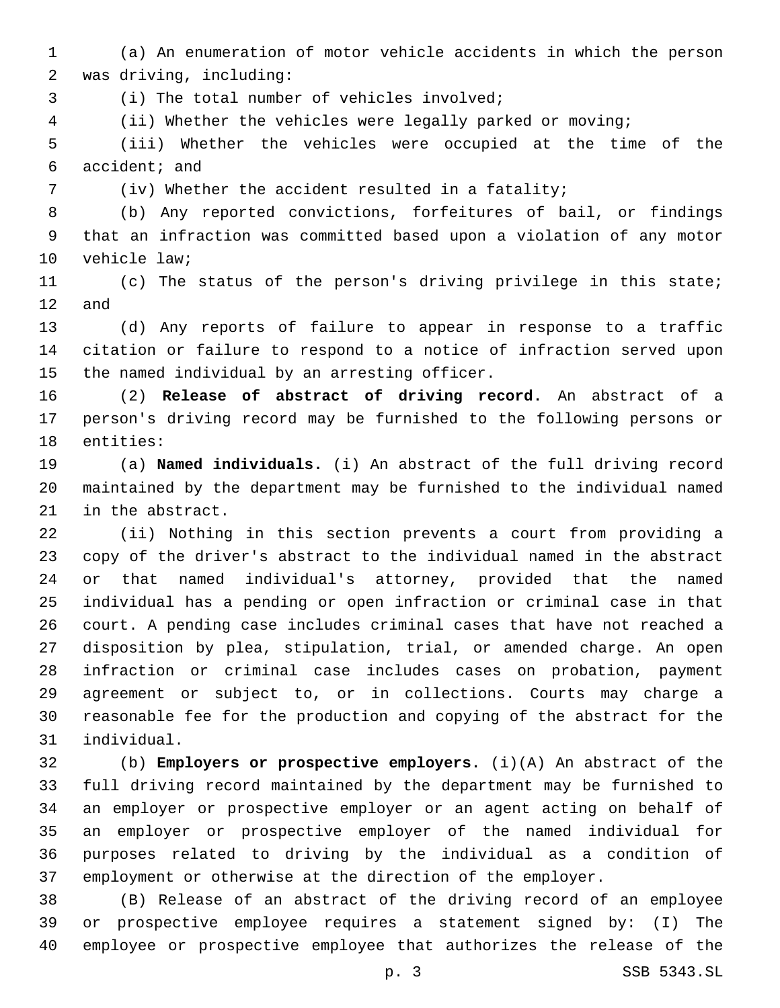(a) An enumeration of motor vehicle accidents in which the person 2 was driving, including:

3 (i) The total number of vehicles involved;

(ii) Whether the vehicles were legally parked or moving;

 (iii) Whether the vehicles were occupied at the time of the 6 accident; and

(iv) Whether the accident resulted in a fatality;

 (b) Any reported convictions, forfeitures of bail, or findings that an infraction was committed based upon a violation of any motor 10 vehicle law;

 (c) The status of the person's driving privilege in this state; and

 (d) Any reports of failure to appear in response to a traffic citation or failure to respond to a notice of infraction served upon 15 the named individual by an arresting officer.

 (2) **Release of abstract of driving record.** An abstract of a person's driving record may be furnished to the following persons or 18 entities:

 (a) **Named individuals.** (i) An abstract of the full driving record maintained by the department may be furnished to the individual named 21 in the abstract.

 (ii) Nothing in this section prevents a court from providing a copy of the driver's abstract to the individual named in the abstract or that named individual's attorney, provided that the named individual has a pending or open infraction or criminal case in that court. A pending case includes criminal cases that have not reached a disposition by plea, stipulation, trial, or amended charge. An open infraction or criminal case includes cases on probation, payment agreement or subject to, or in collections. Courts may charge a reasonable fee for the production and copying of the abstract for the individual.31

 (b) **Employers or prospective employers.** (i)(A) An abstract of the full driving record maintained by the department may be furnished to an employer or prospective employer or an agent acting on behalf of an employer or prospective employer of the named individual for purposes related to driving by the individual as a condition of employment or otherwise at the direction of the employer.

 (B) Release of an abstract of the driving record of an employee or prospective employee requires a statement signed by: (I) The employee or prospective employee that authorizes the release of the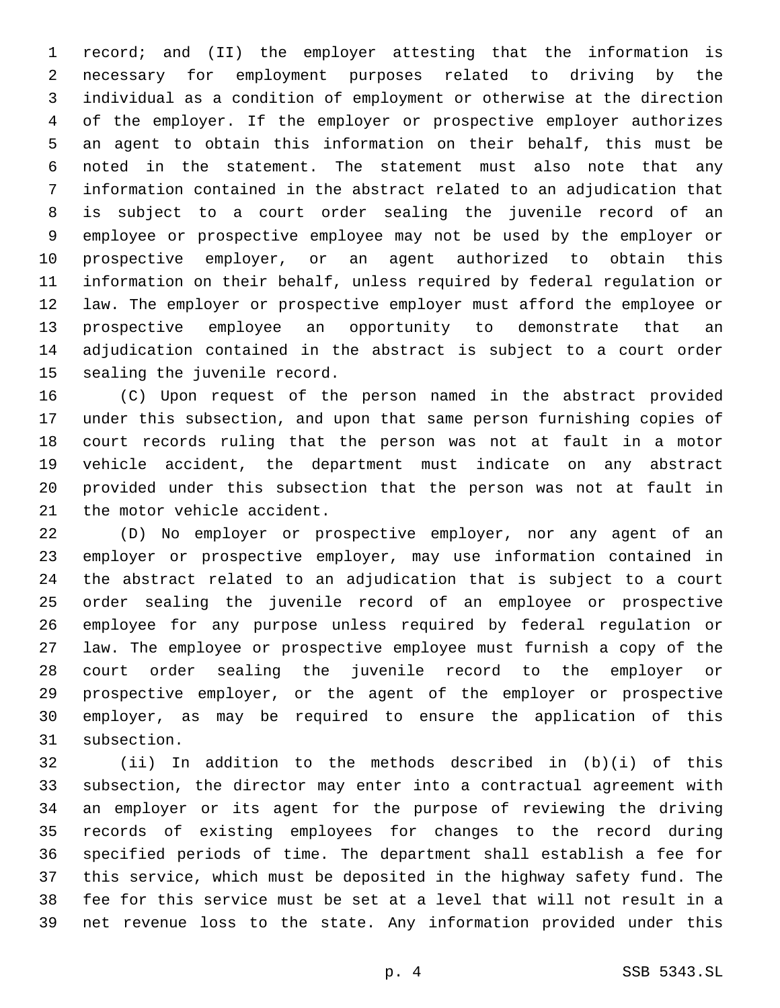record; and (II) the employer attesting that the information is necessary for employment purposes related to driving by the individual as a condition of employment or otherwise at the direction of the employer. If the employer or prospective employer authorizes an agent to obtain this information on their behalf, this must be noted in the statement. The statement must also note that any information contained in the abstract related to an adjudication that is subject to a court order sealing the juvenile record of an employee or prospective employee may not be used by the employer or prospective employer, or an agent authorized to obtain this information on their behalf, unless required by federal regulation or law. The employer or prospective employer must afford the employee or prospective employee an opportunity to demonstrate that an adjudication contained in the abstract is subject to a court order 15 sealing the juvenile record.

 (C) Upon request of the person named in the abstract provided under this subsection, and upon that same person furnishing copies of court records ruling that the person was not at fault in a motor vehicle accident, the department must indicate on any abstract provided under this subsection that the person was not at fault in 21 the motor vehicle accident.

 (D) No employer or prospective employer, nor any agent of an employer or prospective employer, may use information contained in the abstract related to an adjudication that is subject to a court order sealing the juvenile record of an employee or prospective employee for any purpose unless required by federal regulation or law. The employee or prospective employee must furnish a copy of the court order sealing the juvenile record to the employer or prospective employer, or the agent of the employer or prospective employer, as may be required to ensure the application of this 31 subsection.

 (ii) In addition to the methods described in (b)(i) of this subsection, the director may enter into a contractual agreement with an employer or its agent for the purpose of reviewing the driving records of existing employees for changes to the record during specified periods of time. The department shall establish a fee for this service, which must be deposited in the highway safety fund. The fee for this service must be set at a level that will not result in a net revenue loss to the state. Any information provided under this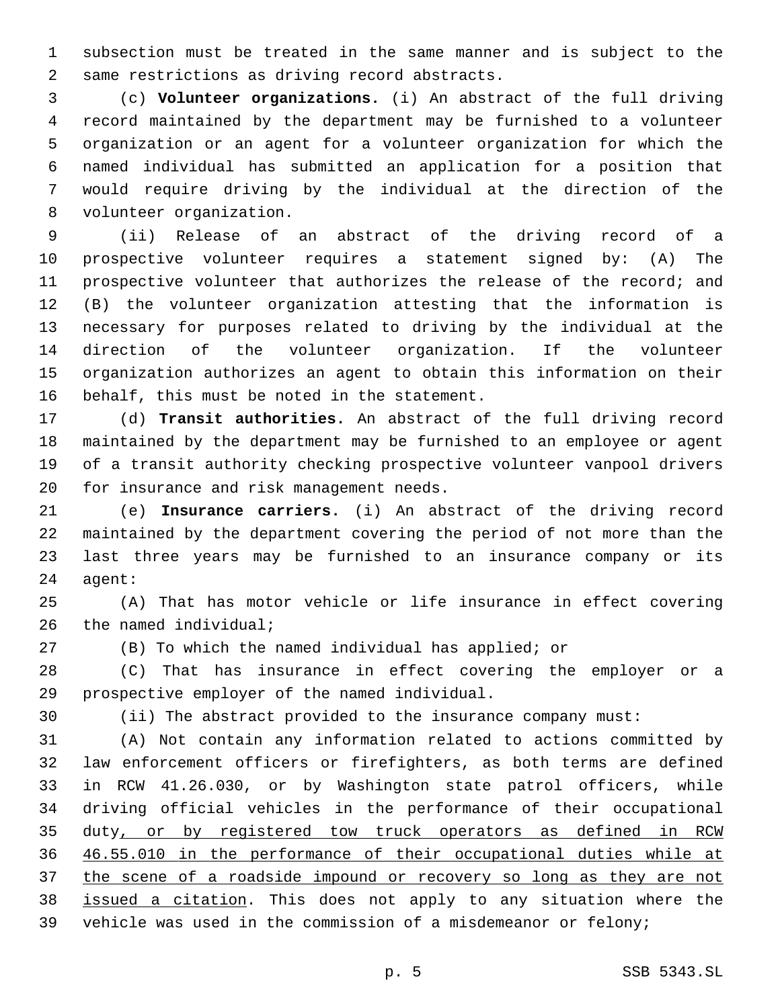subsection must be treated in the same manner and is subject to the 2 same restrictions as driving record abstracts.

 (c) **Volunteer organizations.** (i) An abstract of the full driving record maintained by the department may be furnished to a volunteer organization or an agent for a volunteer organization for which the named individual has submitted an application for a position that would require driving by the individual at the direction of the 8 volunteer organization.

 (ii) Release of an abstract of the driving record of a prospective volunteer requires a statement signed by: (A) The prospective volunteer that authorizes the release of the record; and (B) the volunteer organization attesting that the information is necessary for purposes related to driving by the individual at the direction of the volunteer organization. If the volunteer organization authorizes an agent to obtain this information on their 16 behalf, this must be noted in the statement.

 (d) **Transit authorities.** An abstract of the full driving record maintained by the department may be furnished to an employee or agent of a transit authority checking prospective volunteer vanpool drivers 20 for insurance and risk management needs.

 (e) **Insurance carriers.** (i) An abstract of the driving record maintained by the department covering the period of not more than the last three years may be furnished to an insurance company or its 24 agent:

 (A) That has motor vehicle or life insurance in effect covering the named individual;

(B) To which the named individual has applied; or

 (C) That has insurance in effect covering the employer or a 29 prospective employer of the named individual.

(ii) The abstract provided to the insurance company must:

 (A) Not contain any information related to actions committed by law enforcement officers or firefighters, as both terms are defined in RCW 41.26.030, or by Washington state patrol officers, while driving official vehicles in the performance of their occupational 35 duty, or by registered tow truck operators as defined in RCW 46.55.010 in the performance of their occupational duties while at the scene of a roadside impound or recovery so long as they are not issued a citation. This does not apply to any situation where the vehicle was used in the commission of a misdemeanor or felony;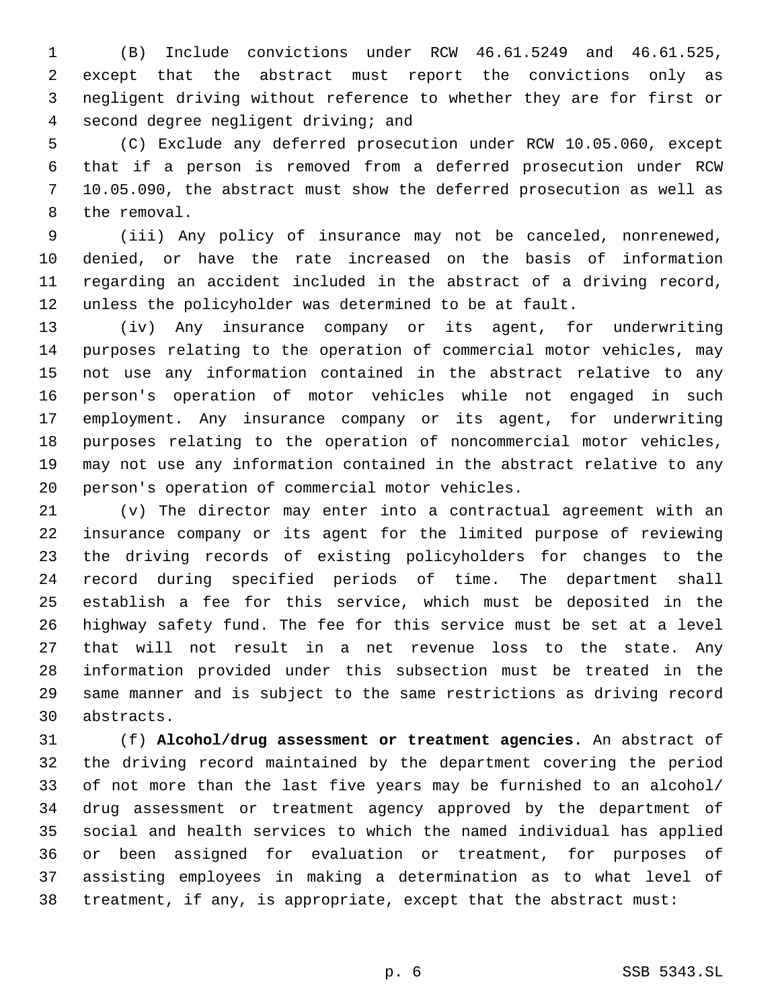(B) Include convictions under RCW 46.61.5249 and 46.61.525, except that the abstract must report the convictions only as negligent driving without reference to whether they are for first or second degree negligent driving; and4

 (C) Exclude any deferred prosecution under RCW 10.05.060, except that if a person is removed from a deferred prosecution under RCW 10.05.090, the abstract must show the deferred prosecution as well as 8 the removal.

 (iii) Any policy of insurance may not be canceled, nonrenewed, denied, or have the rate increased on the basis of information regarding an accident included in the abstract of a driving record, unless the policyholder was determined to be at fault.

 (iv) Any insurance company or its agent, for underwriting purposes relating to the operation of commercial motor vehicles, may not use any information contained in the abstract relative to any person's operation of motor vehicles while not engaged in such employment. Any insurance company or its agent, for underwriting purposes relating to the operation of noncommercial motor vehicles, may not use any information contained in the abstract relative to any 20 person's operation of commercial motor vehicles.

 (v) The director may enter into a contractual agreement with an insurance company or its agent for the limited purpose of reviewing the driving records of existing policyholders for changes to the record during specified periods of time. The department shall establish a fee for this service, which must be deposited in the highway safety fund. The fee for this service must be set at a level that will not result in a net revenue loss to the state. Any information provided under this subsection must be treated in the same manner and is subject to the same restrictions as driving record abstracts.30

 (f) **Alcohol/drug assessment or treatment agencies.** An abstract of the driving record maintained by the department covering the period of not more than the last five years may be furnished to an alcohol/ drug assessment or treatment agency approved by the department of social and health services to which the named individual has applied or been assigned for evaluation or treatment, for purposes of assisting employees in making a determination as to what level of treatment, if any, is appropriate, except that the abstract must: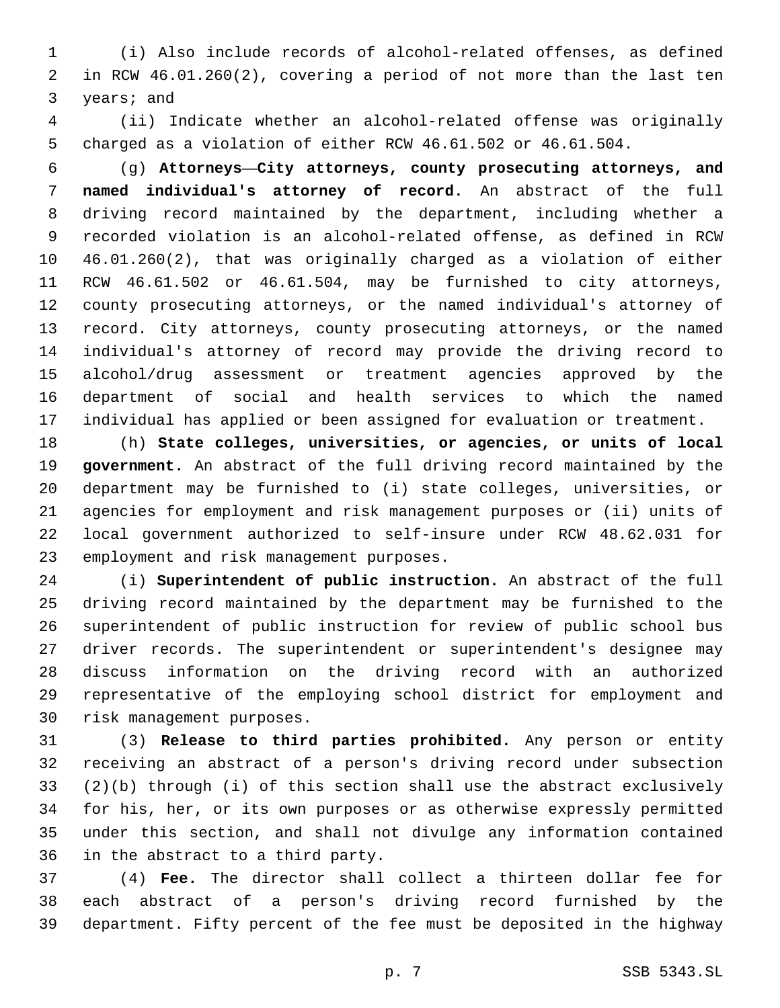(i) Also include records of alcohol-related offenses, as defined in RCW 46.01.260(2), covering a period of not more than the last ten 3 years; and

 (ii) Indicate whether an alcohol-related offense was originally charged as a violation of either RCW 46.61.502 or 46.61.504.

 (g) **Attorneys—City attorneys, county prosecuting attorneys, and named individual's attorney of record.** An abstract of the full driving record maintained by the department, including whether a recorded violation is an alcohol-related offense, as defined in RCW 46.01.260(2), that was originally charged as a violation of either RCW 46.61.502 or 46.61.504, may be furnished to city attorneys, county prosecuting attorneys, or the named individual's attorney of record. City attorneys, county prosecuting attorneys, or the named individual's attorney of record may provide the driving record to alcohol/drug assessment or treatment agencies approved by the department of social and health services to which the named individual has applied or been assigned for evaluation or treatment.

 (h) **State colleges, universities, or agencies, or units of local government.** An abstract of the full driving record maintained by the department may be furnished to (i) state colleges, universities, or agencies for employment and risk management purposes or (ii) units of local government authorized to self-insure under RCW 48.62.031 for 23 employment and risk management purposes.

 (i) **Superintendent of public instruction.** An abstract of the full driving record maintained by the department may be furnished to the superintendent of public instruction for review of public school bus driver records. The superintendent or superintendent's designee may discuss information on the driving record with an authorized representative of the employing school district for employment and 30 risk management purposes.

 (3) **Release to third parties prohibited.** Any person or entity receiving an abstract of a person's driving record under subsection (2)(b) through (i) of this section shall use the abstract exclusively for his, her, or its own purposes or as otherwise expressly permitted under this section, and shall not divulge any information contained 36 in the abstract to a third party.

 (4) **Fee.** The director shall collect a thirteen dollar fee for each abstract of a person's driving record furnished by the department. Fifty percent of the fee must be deposited in the highway